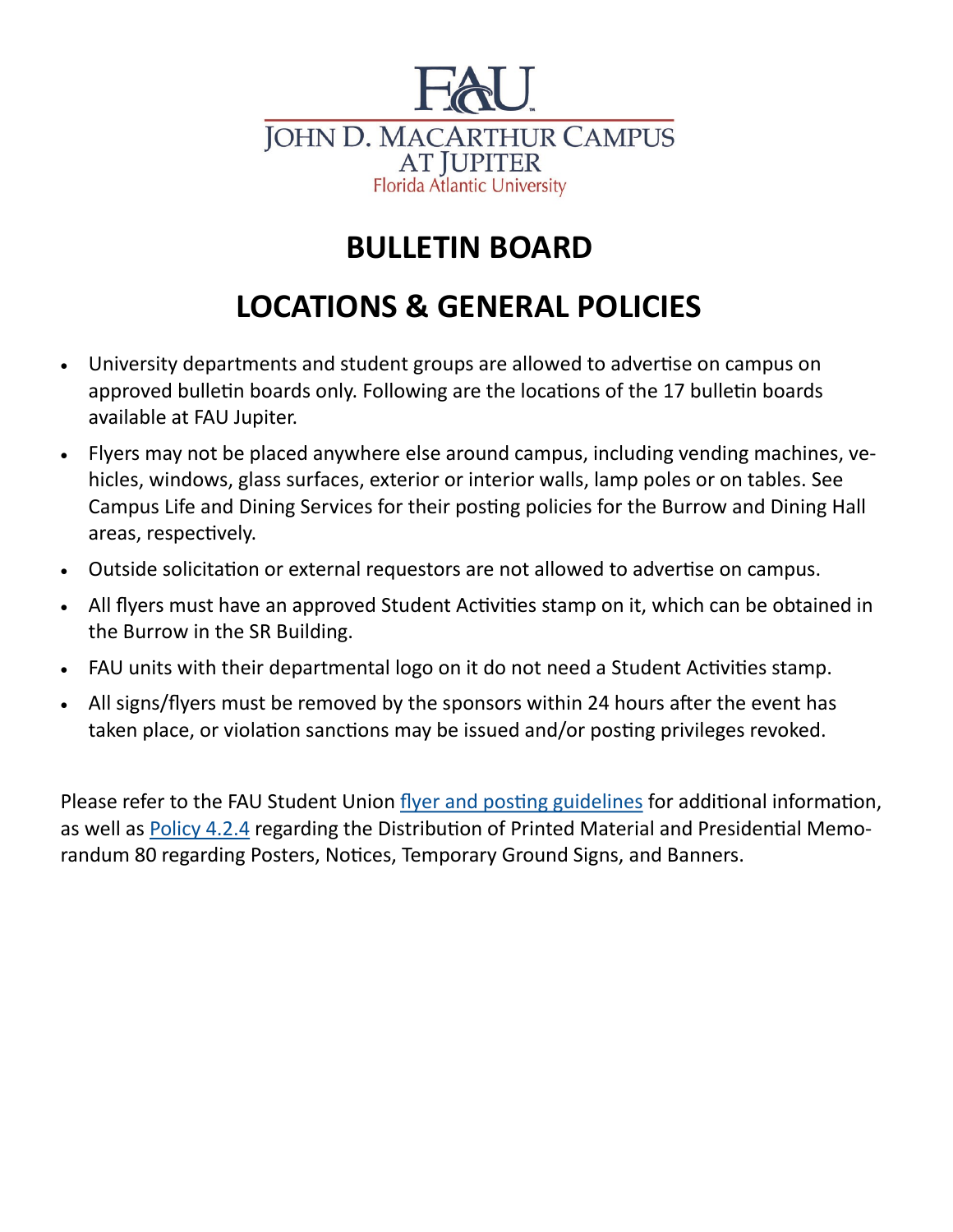

## **BULLETIN BOARD**

## **LOCATIONS & GENERAL POLICIES**

- University departments and student groups are allowed to advertise on campus on approved bulletin boards only. Following are the locations of the 17 bulletin boards available at FAU Jupiter.
- Flyers may not be placed anywhere else around campus, including vending machines, vehicles, windows, glass surfaces, exterior or interior walls, lamp poles or on tables. See Campus Life and Dining Services for their posting policies for the Burrow and Dining Hall areas, respectively.
- Outside solicitation or external requestors are not allowed to advertise on campus.
- All flyers must have an approved Student Activities stamp on it, which can be obtained in the Burrow in the SR Building.
- FAU units with their departmental logo on it do not need a Student Activities stamp.
- All signs/flyers must be removed by the sponsors within 24 hours after the event has taken place, or violation sanctions may be issued and/or posting privileges revoked.

Please refer to the FAU Student Union [flyer and posting guidelines](http://www.fau.edu/studentunion/forms/Flyer%20Processing%20Form%20Oct%202.pdf) for additional information, as well as [Policy 4.2.4](https://www.fau.edu/policies/files/4.2.4%20Distribution%20of%20Printed%20Materials.pdf) regarding the Distribution of Printed Material and Presidential Memorandum 80 regarding Posters, Notices, Temporary Ground Signs, and Banners.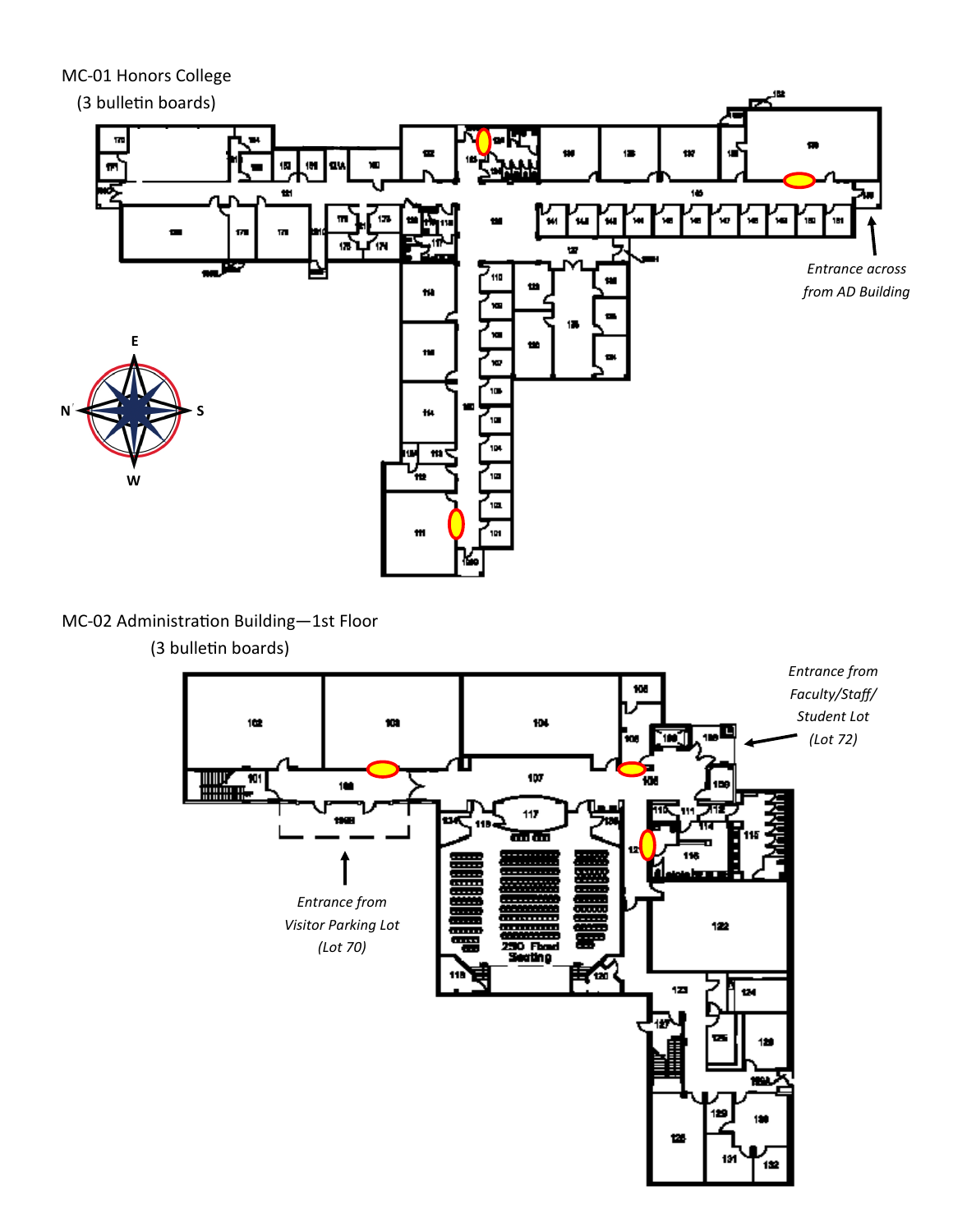MC-01 Honors College

(3 bulletin boards)



继

MC-02 Administration Building—1st Floor

(3 bulletin boards)

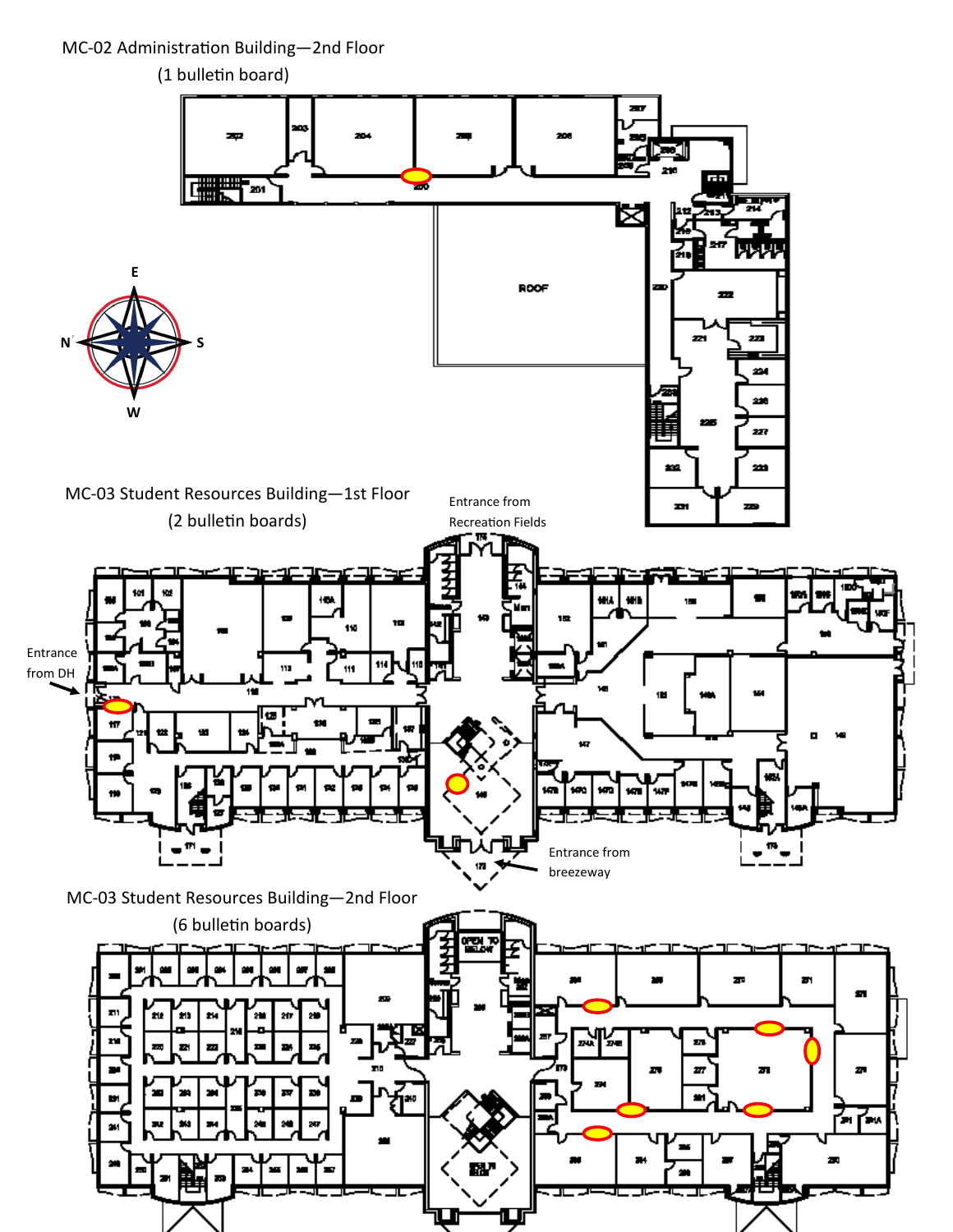MC-02 Administration Building—2nd Floor